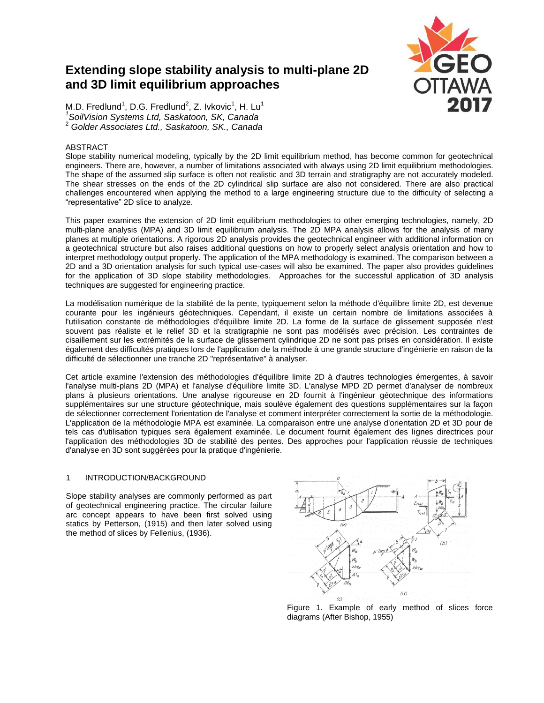# **Extending slope stability analysis to multi-plane 2D and 3D limit equilibrium approaches**



M.D. Fredlund<sup>1</sup>, D.G. Fredlund<sup>2</sup>, Z. Ivkovic<sup>1</sup>, H. Lu<sup>1</sup> *1 SoilVision Systems Ltd, Saskatoon, SK, Canada* <sup>2</sup> *Golder Associates Ltd., Saskatoon, SK., Canada*

## ABSTRACT

Slope stability numerical modeling, typically by the 2D limit equilibrium method, has become common for geotechnical engineers. There are, however, a number of limitations associated with always using 2D limit equilibrium methodologies. The shape of the assumed slip surface is often not realistic and 3D terrain and stratigraphy are not accurately modeled. The shear stresses on the ends of the 2D cylindrical slip surface are also not considered. There are also practical challenges encountered when applying the method to a large engineering structure due to the difficulty of selecting a "representative" 2D slice to analyze.

This paper examines the extension of 2D limit equilibrium methodologies to other emerging technologies, namely, 2D multi-plane analysis (MPA) and 3D limit equilibrium analysis. The 2D MPA analysis allows for the analysis of many planes at multiple orientations. A rigorous 2D analysis provides the geotechnical engineer with additional information on a geotechnical structure but also raises additional questions on how to properly select analysis orientation and how to interpret methodology output properly. The application of the MPA methodology is examined. The comparison between a 2D and a 3D orientation analysis for such typical use-cases will also be examined. The paper also provides guidelines for the application of 3D slope stability methodologies. Approaches for the successful application of 3D analysis techniques are suggested for engineering practice.

La modélisation numérique de la stabilité de la pente, typiquement selon la méthode d'équilibre limite 2D, est devenue courante pour les ingénieurs géotechniques. Cependant, il existe un certain nombre de limitations associées à l'utilisation constante de méthodologies d'équilibre limite 2D. La forme de la surface de glissement supposée n'est souvent pas réaliste et le relief 3D et la stratigraphie ne sont pas modélisés avec précision. Les contraintes de cisaillement sur les extrémités de la surface de glissement cylindrique 2D ne sont pas prises en considération. Il existe également des difficultés pratiques lors de l'application de la méthode à une grande structure d'ingénierie en raison de la difficulté de sélectionner une tranche 2D "représentative" à analyser.

Cet article examine l'extension des méthodologies d'équilibre limite 2D à d'autres technologies émergentes, à savoir l'analyse multi-plans 2D (MPA) et l'analyse d'équilibre limite 3D. L'analyse MPD 2D permet d'analyser de nombreux plans à plusieurs orientations. Une analyse rigoureuse en 2D fournit à l'ingénieur géotechnique des informations supplémentaires sur une structure géotechnique, mais soulève également des questions supplémentaires sur la façon de sélectionner correctement l'orientation de l'analyse et comment interpréter correctement la sortie de la méthodologie. L'application de la méthodologie MPA est examinée. La comparaison entre une analyse d'orientation 2D et 3D pour de tels cas d'utilisation typiques sera également examinée. Le document fournit également des lignes directrices pour l'application des méthodologies 3D de stabilité des pentes. Des approches pour l'application réussie de techniques d'analyse en 3D sont suggérées pour la pratique d'ingénierie.

### 1 INTRODUCTION/BACKGROUND

Slope stability analyses are commonly performed as part of geotechnical engineering practice. The circular failure arc concept appears to have been first solved using statics by Petterson, (1915) and then later solved using the method of slices by Fellenius, (1936).



Figure 1. Example of early method of slices force diagrams (After Bishop, 1955)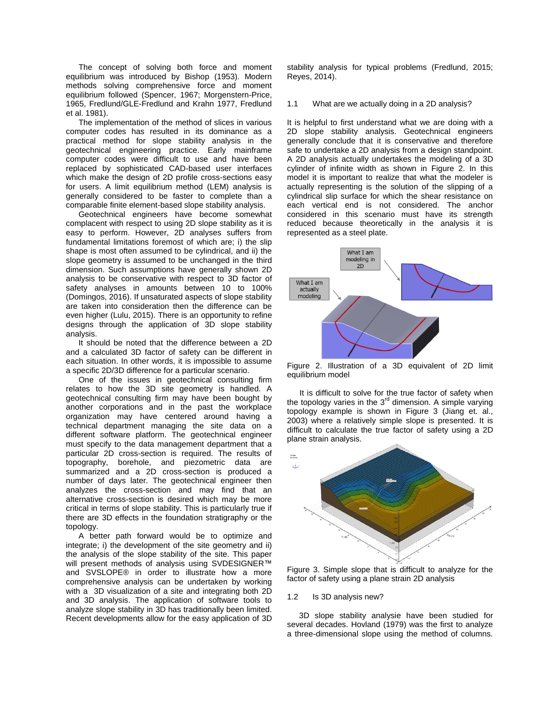The concept of solving both force and moment equilibrium was introduced by Bishop (1953). Modern methods solving comprehensive force and moment equilibrium followed (Spencer, 1967; Morgenstern-Price, 1965, Fredlund/GLE-Fredlund and Krahn 1977, Fredlund et al. 1981).

The implementation of the method of slices in various computer codes has resulted in its dominance as a practical method for slope stability analysis in the geotechnical engineering practice. Early mainframe computer codes were difficult to use and have been replaced by sophisticated CAD-based user interfaces which make the design of 2D profile cross-sections easy for users. A limit equilibrium method (LEM) analysis is generally considered to be faster to complete than a comparable finite element-based slope stability analysis.

Geotechnical engineers have become somewhat complacent with respect to using 2D slope stability as it is easy to perform. However, 2D analyses suffers from fundamental limitations foremost of which are; i) the slip shape is most often assumed to be cylindrical, and ii) the slope geometry is assumed to be unchanged in the third dimension. Such assumptions have generally shown 2D analysis to be conservative with respect to 3D factor of safety analyses in amounts between 10 to 100% (Domingos, 2016). If unsaturated aspects of slope stability are taken into consideration then the difference can be even higher (Lulu, 2015). There is an opportunity to refine designs through the application of 3D slope stability analysis.

It should be noted that the difference between a 2D and a calculated 3D factor of safety can be different in each situation. In other words, it is impossible to assume a specific 2D/3D difference for a particular scenario.

One of the issues in geotechnical consulting firm relates to how the 3D site geometry is handled. A geotechnical consulting firm may have been bought by another corporations and in the past the workplace organization may have centered around having a technical department managing the site data on a different software platform. The geotechnical engineer must specify to the data management department that a particular 2D cross-section is required. The results of topography, borehole, and piezometric data are summarized and a 2D cross-section is produced a number of days later. The geotechnical engineer then analyzes the cross-section and may find that an alternative cross-section is desired which may be more critical in terms of slope stability. This is particularly true if there are 3D effects in the foundation stratigraphy or the topology.

A better path forward would be to optimize and integrate; i) the development of the site geometry and ii) the analysis of the slope stability of the site. This paper will present methods of analysis using SVDESIGNER™ and SVSLOPE® in order to illustrate how a more comprehensive analysis can be undertaken by working with a 3D visualization of a site and integrating both 2D and 3D analysis. The application of software tools to analyze slope stability in 3D has traditionally been limited. Recent developments allow for the easy application of 3D

stability analysis for typical problems (Fredlund, 2015; Reyes, 2014).

## 1.1 What are we actually doing in a 2D analysis?

It is helpful to first understand what we are doing with a 2D slope stability analysis. Geotechnical engineers generally conclude that it is conservative and therefore safe to undertake a 2D analysis from a design standpoint. A 2D analysis actually undertakes the modeling of a 3D cylinder of infinite width as shown in Figure 2. In this model it is important to realize that what the modeler is actually representing is the solution of the slipping of a cylindrical slip surface for which the shear resistance on each vertical end is not considered. The anchor considered in this scenario must have its strength reduced because theoretically in the analysis it is represented as a steel plate.



Figure 2. Illustration of a 3D equivalent of 2D limit equilibrium model

It is difficult to solve for the true factor of safety when the topology varies in the  $3<sup>rd</sup>$  dimension. A simple varying topology example is shown in Figure 3 (Jiang et. al., 2003) where a relatively simple slope is presented. It is difficult to calculate the true factor of safety using a 2D plane strain analysis.



Figure 3. Simple slope that is difficult to analyze for the factor of safety using a plane strain 2D analysis

#### 1.2 Is 3D analysis new?

3D slope stability analysie have been studied for several decades. Hovland (1979) was the first to analyze a three-dimensional slope using the method of columns.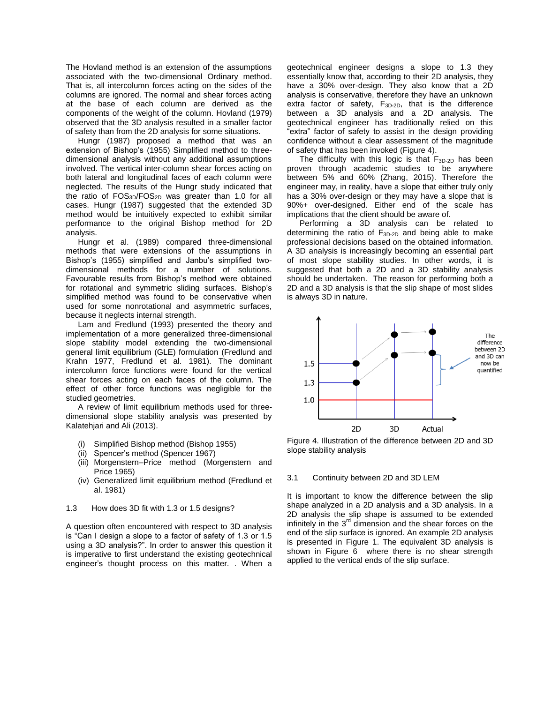The Hovland method is an extension of the assumptions associated with the two-dimensional Ordinary method. That is, all intercolumn forces acting on the sides of the columns are ignored. The normal and shear forces acting at the base of each column are derived as the components of the weight of the column. Hovland (1979) observed that the 3D analysis resulted in a smaller factor of safety than from the 2D analysis for some situations.

Hungr (1987) proposed a method that was an extension of Bishop's (1955) Simplified method to threedimensional analysis without any additional assumptions involved. The vertical inter-column shear forces acting on both lateral and longitudinal faces of each column were neglected. The results of the Hungr study indicated that the ratio of  $FOS_{3D}/FOS_{2D}$  was greater than 1.0 for all cases. Hungr (1987) suggested that the extended 3D method would be intuitively expected to exhibit similar performance to the original Bishop method for 2D analysis.

Hungr et al. (1989) compared three-dimensional methods that were extensions of the assumptions in Bishop's (1955) simplified and Janbu's simplified twodimensional methods for a number of solutions. Favourable results from Bishop's method were obtained for rotational and symmetric sliding surfaces. Bishop's simplified method was found to be conservative when used for some nonrotational and asymmetric surfaces, because it neglects internal strength.

Lam and Fredlund (1993) presented the theory and implementation of a more generalized three-dimensional slope stability model extending the two-dimensional general limit equilibrium (GLE) formulation (Fredlund and Krahn 1977, Fredlund et al. 1981). The dominant intercolumn force functions were found for the vertical shear forces acting on each faces of the column. The effect of other force functions was negligible for the studied geometries.

A review of limit equilibrium methods used for threedimensional slope stability analysis was presented by Kalatehjari and Ali (2013).

- Simplified Bishop method (Bishop 1955)
- (ii) Spencer's method (Spencer 1967)
- (iii) Morgenstern–Price method (Morgenstern and Price 1965)
- (iv) Generalized limit equilibrium method (Fredlund et al. 1981)
- 1.3 How does 3D fit with 1.3 or 1.5 designs?

A question often encountered with respect to 3D analysis is "Can I design a slope to a factor of safety of 1.3 or 1.5 using a 3D analysis?". In order to answer this question it is imperative to first understand the existing geotechnical engineer's thought process on this matter. . When a

geotechnical engineer designs a slope to 1.3 they essentially know that, according to their 2D analysis, they have a 30% over-design. They also know that a 2D analysis is conservative, therefore they have an unknown extra factor of safety,  $F_{3D-2D}$ , that is the difference between a 3D analysis and a 2D analysis. The geotechnical engineer has traditionally relied on this "extra" factor of safety to assist in the design providing confidence without a clear assessment of the magnitude of safety that has been invoked (Figure 4).

The difficulty with this logic is that  $F_{3D-2D}$  has been proven through academic studies to be anywhere between 5% and 60% (Zhang, 2015). Therefore the engineer may, in reality, have a slope that either truly only has a 30% over-design or they may have a slope that is 90%+ over-designed. Either end of the scale has implications that the client should be aware of.

Performing a 3D analysis can be related to determining the ratio of F3D-2D and being able to make professional decisions based on the obtained information. A 3D analysis is increasingly becoming an essential part of most slope stability studies. In other words, it is suggested that both a 2D and a 3D stability analysis should be undertaken. The reason for performing both a 2D and a 3D analysis is that the slip shape of most slides is always 3D in nature.



Figure 4. Illustration of the difference between 2D and 3D slope stability analysis

#### 3.1 Continuity between 2D and 3D LEM

It is important to know the difference between the slip shape analyzed in a 2D analysis and a 3D analysis. In a 2D analysis the slip shape is assumed to be extended infinitely in the  $3<sup>rd</sup>$  dimension and the shear forces on the end of the slip surface is ignored. An example 2D analysis is presented in Figure 1. The equivalent 3D analysis is shown in Figure 6 where there is no shear strength applied to the vertical ends of the slip surface.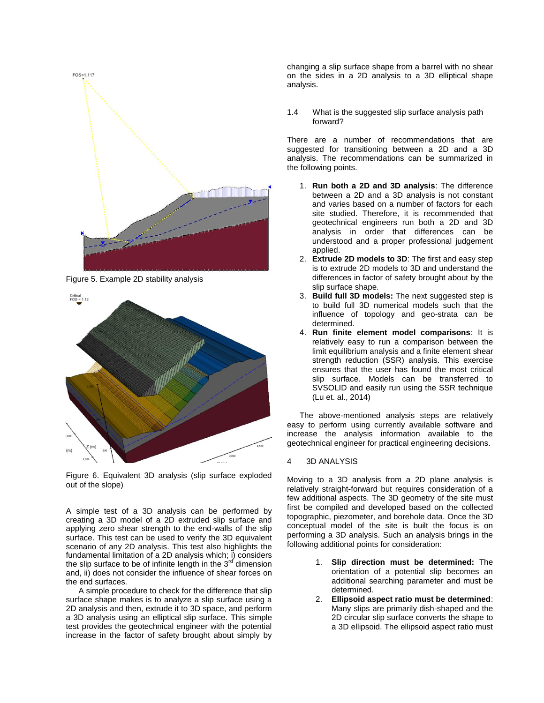

Figure 5. Example 2D stability analysis



Figure 6. Equivalent 3D analysis (slip surface exploded out of the slope)

A simple test of a 3D analysis can be performed by creating a 3D model of a 2D extruded slip surface and applying zero shear strength to the end-walls of the slip surface. This test can be used to verify the 3D equivalent scenario of any 2D analysis. This test also highlights the fundamental limitation of a 2D analysis which; i) considers the slip surface to be of infinite length in the  $3^{rd}$  dimension and, ii) does not consider the influence of shear forces on the end surfaces.

A simple procedure to check for the difference that slip surface shape makes is to analyze a slip surface using a 2D analysis and then, extrude it to 3D space, and perform a 3D analysis using an elliptical slip surface. This simple test provides the geotechnical engineer with the potential increase in the factor of safety brought about simply by

changing a slip surface shape from a barrel with no shear on the sides in a 2D analysis to a 3D elliptical shape analysis.

1.4 What is the suggested slip surface analysis path forward?

There are a number of recommendations that are suggested for transitioning between a 2D and a 3D analysis. The recommendations can be summarized in the following points.

- 1. **Run both a 2D and 3D analysis**: The difference between a 2D and a 3D analysis is not constant and varies based on a number of factors for each site studied. Therefore, it is recommended that geotechnical engineers run both a 2D and 3D analysis in order that differences can be understood and a proper professional judgement applied.
- 2. **Extrude 2D models to 3D**: The first and easy step is to extrude 2D models to 3D and understand the differences in factor of safety brought about by the slip surface shape.
- 3. **Build full 3D models:** The next suggested step is to build full 3D numerical models such that the influence of topology and geo-strata can be determined.
- 4. **Run finite element model comparisons**: It is relatively easy to run a comparison between the limit equilibrium analysis and a finite element shear strength reduction (SSR) analysis. This exercise ensures that the user has found the most critical slip surface. Models can be transferred to SVSOLID and easily run using the SSR technique (Lu et. al., 2014)

The above-mentioned analysis steps are relatively easy to perform using currently available software and increase the analysis information available to the geotechnical engineer for practical engineering decisions.

### 4 3D ANALYSIS

Moving to a 3D analysis from a 2D plane analysis is relatively straight-forward but requires consideration of a few additional aspects. The 3D geometry of the site must first be compiled and developed based on the collected topographic, piezometer, and borehole data. Once the 3D conceptual model of the site is built the focus is on performing a 3D analysis. Such an analysis brings in the following additional points for consideration:

- 1. **Slip direction must be determined:** The orientation of a potential slip becomes an additional searching parameter and must be determined.
- 2. **Ellipsoid aspect ratio must be determined**: Many slips are primarily dish-shaped and the 2D circular slip surface converts the shape to a 3D ellipsoid. The ellipsoid aspect ratio must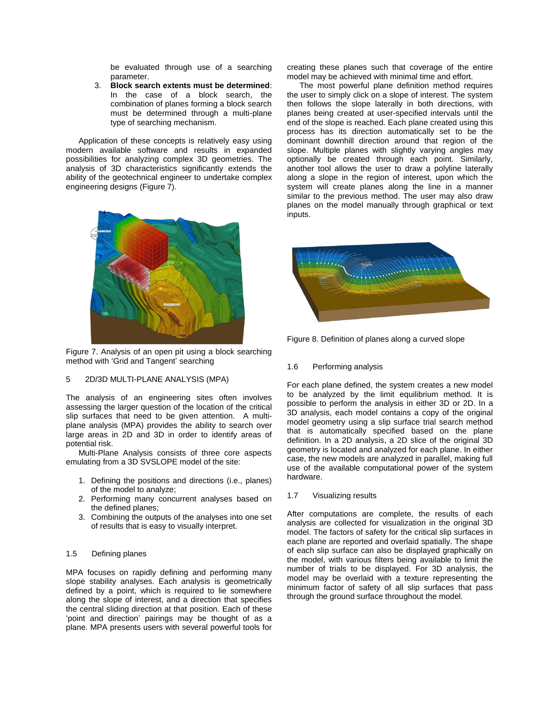be evaluated through use of a searching parameter.

3. **Block search extents must be determined**: In the case of a block search, the combination of planes forming a block search must be determined through a multi-plane type of searching mechanism.

Application of these concepts is relatively easy using modern available software and results in expanded possibilities for analyzing complex 3D geometries. The analysis of 3D characteristics significantly extends the ability of the geotechnical engineer to undertake complex engineering designs (Figure 7).



Figure 7. Analysis of an open pit using a block searching method with 'Grid and Tangent' searching

### 5 2D/3D MULTI-PLANE ANALYSIS (MPA)

The analysis of an engineering sites often involves assessing the larger question of the location of the critical slip surfaces that need to be given attention. A multiplane analysis (MPA) provides the ability to search over large areas in 2D and 3D in order to identify areas of potential risk.

Multi-Plane Analysis consists of three core aspects emulating from a 3D SVSLOPE model of the site:

- 1. Defining the positions and directions (i.e., planes) of the model to analyze;
- 2. Performing many concurrent analyses based on the defined planes;
- 3. Combining the outputs of the analyses into one set of results that is easy to visually interpret.

## 1.5 Defining planes

MPA focuses on rapidly defining and performing many slope stability analyses. Each analysis is geometrically defined by a point, which is required to lie somewhere along the slope of interest, and a direction that specifies the central sliding direction at that position. Each of these 'point and direction' pairings may be thought of as a plane. MPA presents users with several powerful tools for

creating these planes such that coverage of the entire model may be achieved with minimal time and effort.

The most powerful plane definition method requires the user to simply click on a slope of interest. The system then follows the slope laterally in both directions, with planes being created at user-specified intervals until the end of the slope is reached. Each plane created using this process has its direction automatically set to be the dominant downhill direction around that region of the slope. Multiple planes with slightly varying angles may optionally be created through each point. Similarly, another tool allows the user to draw a polyline laterally along a slope in the region of interest, upon which the system will create planes along the line in a manner similar to the previous method. The user may also draw planes on the model manually through graphical or text inputs.



Figure 8. Definition of planes along a curved slope

## 1.6 Performing analysis

For each plane defined, the system creates a new model to be analyzed by the limit equilibrium method. It is possible to perform the analysis in either 3D or 2D. In a 3D analysis, each model contains a copy of the original model geometry using a slip surface trial search method that is automatically specified based on the plane definition. In a 2D analysis, a 2D slice of the original 3D geometry is located and analyzed for each plane. In either case, the new models are analyzed in parallel, making full use of the available computational power of the system hardware.

## 1.7 Visualizing results

After computations are complete, the results of each analysis are collected for visualization in the original 3D model. The factors of safety for the critical slip surfaces in each plane are reported and overlaid spatially. The shape of each slip surface can also be displayed graphically on the model, with various filters being available to limit the number of trials to be displayed. For 3D analysis, the model may be overlaid with a texture representing the minimum factor of safety of all slip surfaces that pass through the ground surface throughout the model.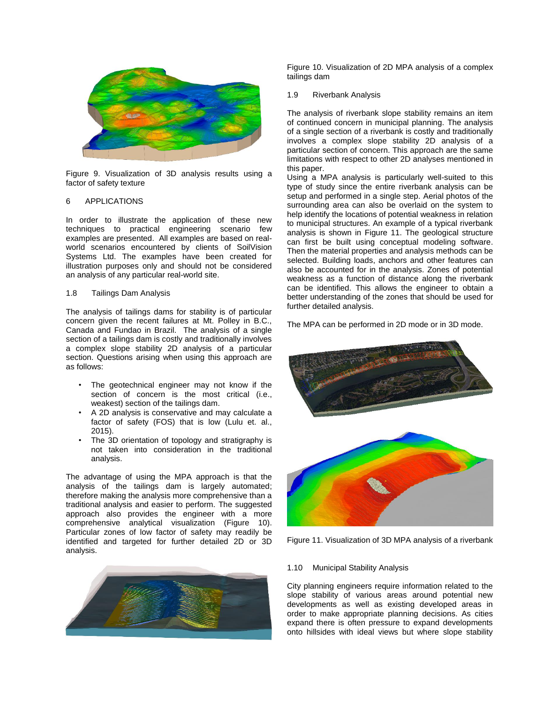

Figure 9. Visualization of 3D analysis results using a factor of safety texture

## 6 APPLICATIONS

In order to illustrate the application of these new techniques to practical engineering scenario few examples are presented. All examples are based on realworld scenarios encountered by clients of SoilVision Systems Ltd. The examples have been created for illustration purposes only and should not be considered an analysis of any particular real-world site.

#### 1.8 Tailings Dam Analysis

The analysis of tailings dams for stability is of particular concern given the recent failures at Mt. Polley in B.C., Canada and Fundao in Brazil. The analysis of a single section of a tailings dam is costly and traditionally involves a complex slope stability 2D analysis of a particular section. Questions arising when using this approach are as follows:

- The geotechnical engineer may not know if the section of concern is the most critical (i.e., weakest) section of the tailings dam.
- A 2D analysis is conservative and may calculate a factor of safety (FOS) that is low (Lulu et. al., 2015).
- The 3D orientation of topology and stratigraphy is not taken into consideration in the traditional analysis.

The advantage of using the MPA approach is that the analysis of the tailings dam is largely automated; therefore making the analysis more comprehensive than a traditional analysis and easier to perform. The suggested approach also provides the engineer with a more comprehensive analytical visualization (Figure 10). Particular zones of low factor of safety may readily be identified and targeted for further detailed 2D or 3D analysis.



Figure 10. Visualization of 2D MPA analysis of a complex tailings dam

### 1.9 Riverbank Analysis

The analysis of riverbank slope stability remains an item of continued concern in municipal planning. The analysis of a single section of a riverbank is costly and traditionally involves a complex slope stability 2D analysis of a particular section of concern. This approach are the same limitations with respect to other 2D analyses mentioned in this paper.

Using a MPA analysis is particularly well-suited to this type of study since the entire riverbank analysis can be setup and performed in a single step. Aerial photos of the surrounding area can also be overlaid on the system to help identify the locations of potential weakness in relation to municipal structures. An example of a typical riverbank analysis is shown in Figure 11. The geological structure can first be built using conceptual modeling software. Then the material properties and analysis methods can be selected. Building loads, anchors and other features can also be accounted for in the analysis. Zones of potential weakness as a function of distance along the riverbank can be identified. This allows the engineer to obtain a better understanding of the zones that should be used for further detailed analysis.

The MPA can be performed in 2D mode or in 3D mode.



Figure 11. Visualization of 3D MPA analysis of a riverbank

### 1.10 Municipal Stability Analysis

City planning engineers require information related to the slope stability of various areas around potential new developments as well as existing developed areas in order to make appropriate planning decisions. As cities expand there is often pressure to expand developments onto hillsides with ideal views but where slope stability